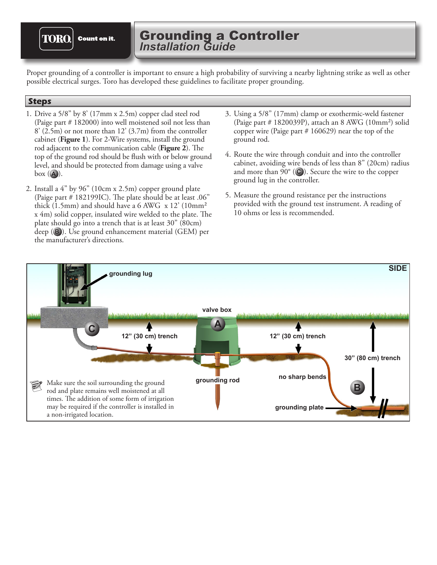**TORO. Count on it.**  Grounding a Controller *Installation Guide* Grounding a Controller

Proper grounding of a controller is important to ensure a high probability of surviving a nearby lightning strike as well as other possible electrical surges. Toro has developed these guidelines to facilitate proper grounding.

## **Steps**

- 1. Drive a 5/8" by 8' (17mm x 2.5m) copper clad steel rod (Paige part # 182000) into well moistened soil not less than  $8'$  (2.5m) or not more than 12' (3.7m) from the controller cabinet (**Figure 1**). For 2-Wire systems, install the ground rod adjacent to the communication cable (**Figure 2**). The top of the ground rod should be flush with or below ground level, and should be protected from damage using a valve box ( **A** ).
- 2. Install a 4" by 96" (10cm x 2.5m) copper ground plate (Paige part # 182199IC). The plate should be at least .06" thick (1.5mm) and should have a 6 AWG  $\,\mathrm{x}$  12' (10mm<sup>2</sup>) x 4m) solid copper, insulated wire welded to the plate. The plate should go into a trench that is at least 30" (80cm) deep (**B**). Use ground enhancement material (GEM) per the manufacturer's directions.
- 3. Using a 5/8" (17mm) clamp or exothermic-weld fastener (Paige part  $\#$  1820039P), attach an 8 AWG (10mm<sup>2</sup>) solid copper wire (Paige part  $# 160629$ ) near the top of the ground rod.
- 4. Route the wire through conduit and into the controller cabinet, avoiding wire bends of less than 8" (20cm) radius and more than 90° (C). Secure the wire to the copper ground lug in the controller.
- 5. Measure the ground resistance per the instructions provided with the ground test instrument. A reading of 10 ohms or less is recommended.